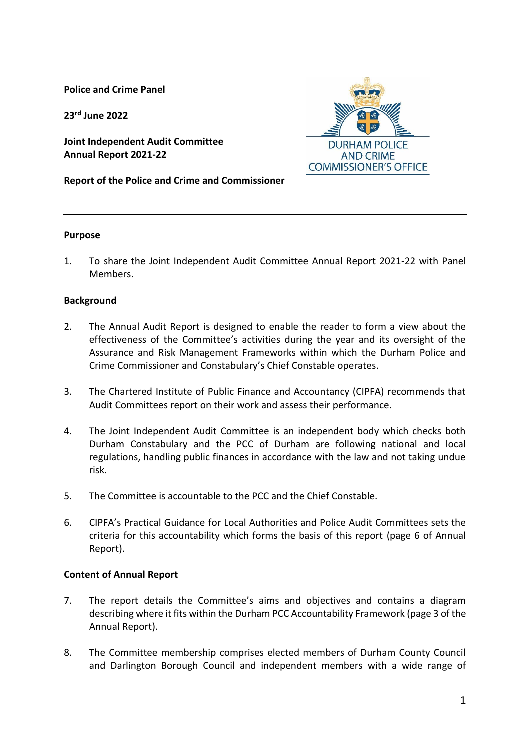**Police and Crime Panel**

**23 rd June 2022**

**Joint Independent Audit Committee Annual Report 2021-22**

**Report of the Police and Crime and Commissioner**



1. To share the Joint Independent Audit Committee Annual Report 2021-22 with Panel Members.

### **Background**

- 2. The Annual Audit Report is designed to enable the reader to form a view about the effectiveness of the Committee's activities during the year and its oversight of the Assurance and Risk Management Frameworks within which the Durham Police and Crime Commissioner and Constabulary's Chief Constable operates.
- 3. The Chartered Institute of Public Finance and Accountancy (CIPFA) recommends that Audit Committees report on their work and assess their performance.
- 4. The Joint Independent Audit Committee is an independent body which checks both Durham Constabulary and the PCC of Durham are following national and local regulations, handling public finances in accordance with the law and not taking undue risk.
- 5. The Committee is accountable to the PCC and the Chief Constable.
- 6. CIPFA's Practical Guidance for Local Authorities and Police Audit Committees sets the criteria for this accountability which forms the basis of this report (page 6 of Annual Report).

### **Content of Annual Report**

- 7. The report details the Committee's aims and objectives and contains a diagram describing where it fits within the Durham PCC Accountability Framework (page 3 of the Annual Report).
- 8. The Committee membership comprises elected members of Durham County Council and Darlington Borough Council and independent members with a wide range of

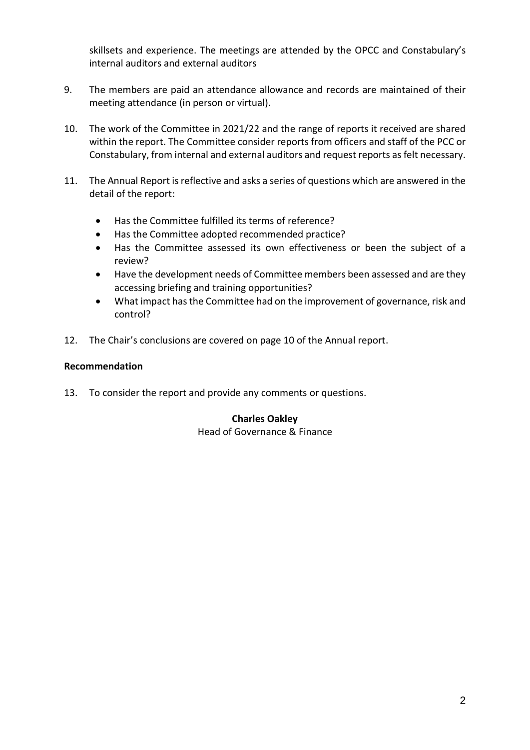skillsets and experience. The meetings are attended by the OPCC and Constabulary's internal auditors and external auditors

- 9. The members are paid an attendance allowance and records are maintained of their meeting attendance (in person or virtual).
- 10. The work of the Committee in 2021/22 and the range of reports it received are shared within the report. The Committee consider reports from officers and staff of the PCC or Constabulary, from internal and external auditors and request reports as felt necessary.
- 11. The Annual Report is reflective and asks a series of questions which are answered in the detail of the report:
	- Has the Committee fulfilled its terms of reference?
	- Has the Committee adopted recommended practice?
	- Has the Committee assessed its own effectiveness or been the subject of a review?
	- Have the development needs of Committee members been assessed and are they accessing briefing and training opportunities?
	- What impact has the Committee had on the improvement of governance, risk and control?
- 12. The Chair's conclusions are covered on page 10 of the Annual report.

# **Recommendation**

13. To consider the report and provide any comments or questions.

## **Charles Oakley** Head of Governance & Finance